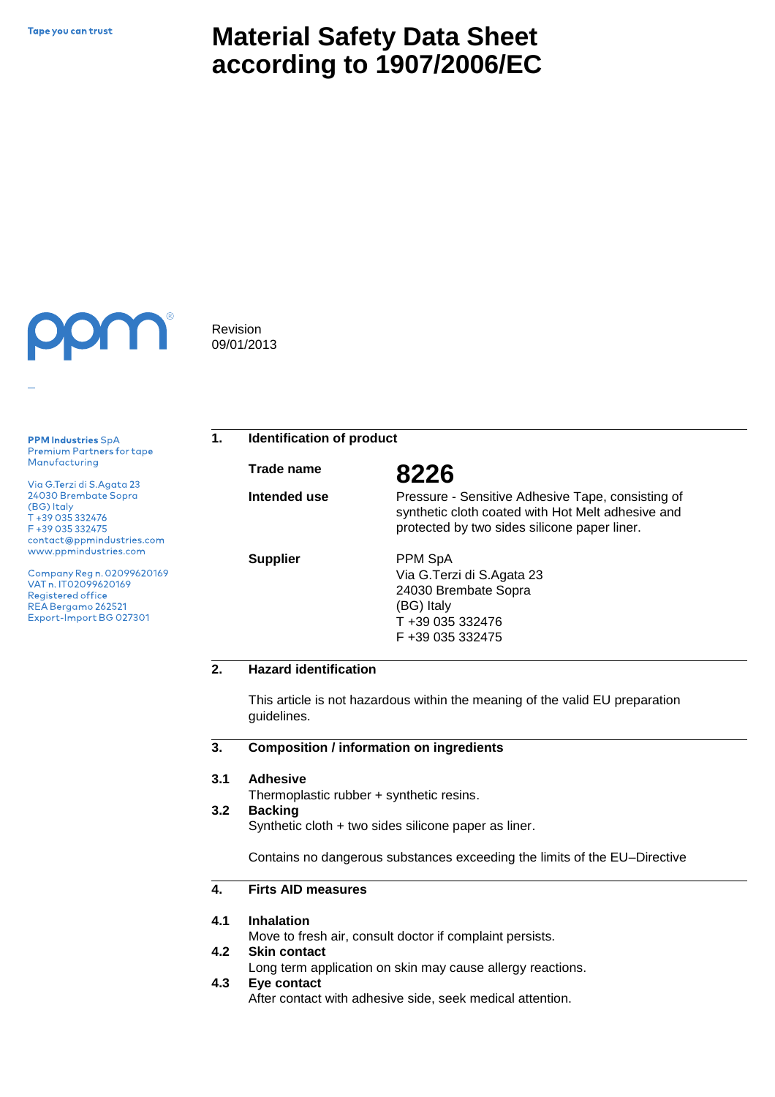# **Material Safety Data Sheet according to 1907/2006/EC**



**PPM Industries SpA** Premium Partners for tape Manufacturing

Via G.Terzi di S.Agata 23 24030 Brembate Sopra (BG) Italy T +39 035 332476 F +39 035 332475 contact@ppmindustries.com www.ppmindustries.com

Company Reg n. 02099620169 VAT n. IT02099620169 Registered office REA Bergamo 262521 Export-Import BG 027301

Revision 09/01/2013

## **1. Identification of product**

**Trade name 8226**

**Intended use** 

**Supplier**

Pressure - Sensitive Adhesive Tape, consisting of synthetic cloth coated with Hot Melt adhesive and protected by two sides silicone paper liner.

PPM SpA Via G.Terzi di S.Agata 23 24030 Brembate Sopra (BG) Italy T +39 035 332476 F +39 035 332475

### **2. Hazard identification**

This article is not hazardous within the meaning of the valid EU preparation guidelines.

#### **3. Composition / information on ingredients**

#### **3.1 Adhesive**

Thermoplastic rubber + synthetic resins.

#### **3.2 Backing**

Synthetic cloth + two sides silicone paper as liner.

Contains no dangerous substances exceeding the limits of the EU–Directive

#### **4. Firts AID measures**

#### **4.1 Inhalation**

Move to fresh air, consult doctor if complaint persists.

#### **4.2 Skin contact**

Long term application on skin may cause allergy reactions.

#### **4.3 Eye contact**

After contact with adhesive side, seek medical attention.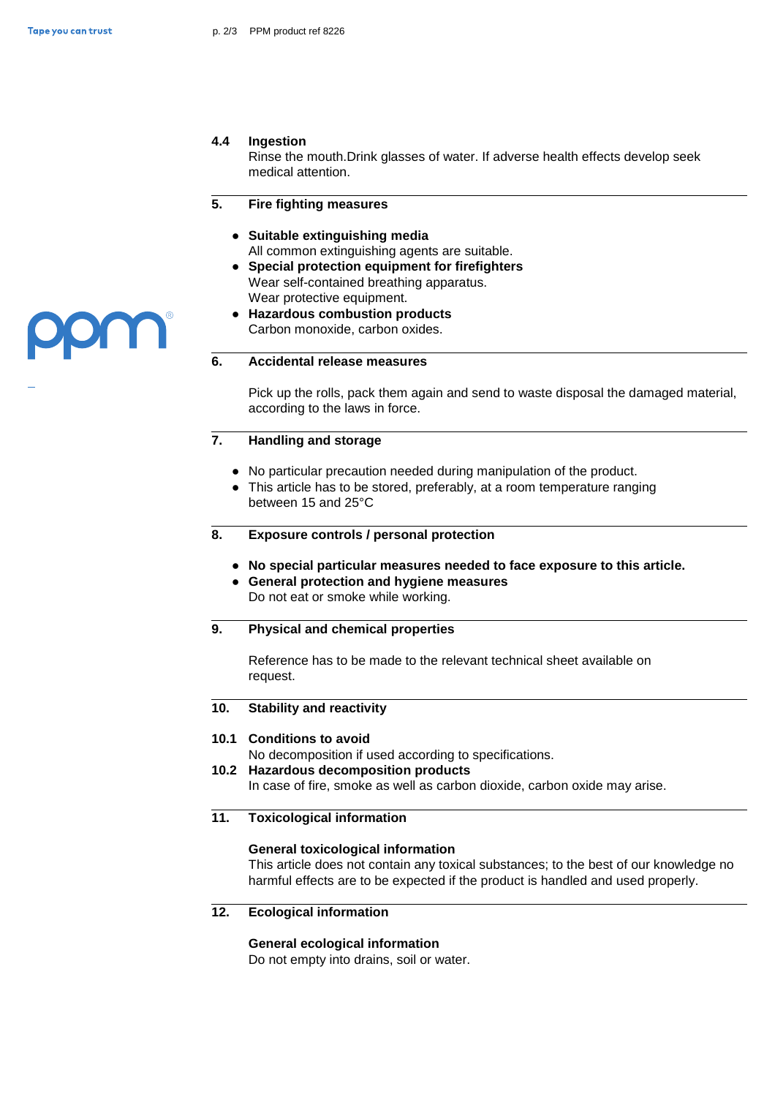### **4.4 Ingestion**

Rinse the mouth.Drink glasses of water. If adverse health effects develop seek medical attention.

#### **5. Fire fighting measures**

- **● Suitable extinguishing media** All common extinguishing agents are suitable.
- **● Special protection equipment for firefighters**  Wear self-contained breathing apparatus. Wear protective equipment.
- **● Hazardous combustion products** Carbon monoxide, carbon oxides.

### **6. Accidental release measures**

Pick up the rolls, pack them again and send to waste disposal the damaged material, according to the laws in force.

### **7. Handling and storage**

- **●** No particular precaution needed during manipulation of the product.
- **●** This article has to be stored, preferably, at a room temperature ranging between 15 and 25°C
- **8. Exposure controls / personal protection**
	- **● No special particular measures needed to face exposure to this article.**
	- **● General protection and hygiene measures**  Do not eat or smoke while working.

### **9. Physical and chemical properties**

Reference has to be made to the relevant technical sheet available on request.

#### **10. Stability and reactivity**

### **10.1 Conditions to avoid**

No decomposition if used according to specifications.

**10.2 Hazardous decomposition products**

In case of fire, smoke as well as carbon dioxide, carbon oxide may arise.

### **11. Toxicological information**

### **General toxicological information**

This article does not contain any toxical substances; to the best of our knowledge no harmful effects are to be expected if the product is handled and used properly.

### **12. Ecological information**

### **General ecological information**

Do not empty into drains, soil or water.